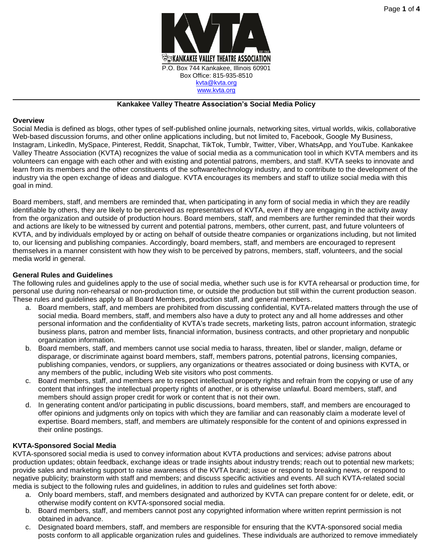

#### **Kankakee Valley Theatre Association's Social Media Policy**

## **Overview**

Social Media is defined as blogs, other types of self-published online journals, networking sites, virtual worlds, wikis, collaborative Web-based discussion forums, and other online applications including, but not limited to, Facebook, Google My Business, Instagram, LinkedIn, MySpace, Pinterest, Reddit, Snapchat, TikTok, Tumblr, Twitter, Viber, WhatsApp, and YouTube. Kankakee Valley Theatre Association (KVTA) recognizes the value of social media as a communication tool in which KVTA members and its volunteers can engage with each other and with existing and potential patrons, members, and staff. KVTA seeks to innovate and learn from its members and the other constituents of the software/technology industry, and to contribute to the development of the industry via the open exchange of ideas and dialogue. KVTA encourages its members and staff to utilize social media with this goal in mind.

Board members, staff, and members are reminded that, when participating in any form of social media in which they are readily identifiable by others, they are likely to be perceived as representatives of KVTA, even if they are engaging in the activity away from the organization and outside of production hours. Board members, staff, and members are further reminded that their words and actions are likely to be witnessed by current and potential patrons, members, other current, past, and future volunteers of KVTA, and by individuals employed by or acting on behalf of outside theatre companies or organizations including, but not limited to, our licensing and publishing companies. Accordingly, board members, staff, and members are encouraged to represent themselves in a manner consistent with how they wish to be perceived by patrons, members, staff, volunteers, and the social media world in general.

## **General Rules and Guidelines**

The following rules and guidelines apply to the use of social media, whether such use is for KVTA rehearsal or production time, for personal use during non-rehearsal or non-production time, or outside the production but still within the current production season. These rules and guidelines apply to all Board Members, production staff, and general members.

- a. Board members, staff, and members are prohibited from discussing confidential, KVTA-related matters through the use of social media. Board members, staff, and members also have a duty to protect any and all home addresses and other personal information and the confidentiality of KVTA's trade secrets, marketing lists, patron account information, strategic business plans, patron and member lists, financial information, business contracts, and other proprietary and nonpublic organization information.
- b. Board members, staff, and members cannot use social media to harass, threaten, libel or slander, malign, defame or disparage, or discriminate against board members, staff, members patrons, potential patrons, licensing companies, publishing companies, vendors, or suppliers, any organizations or theatres associated or doing business with KVTA, or any members of the public, including Web site visitors who post comments.
- c. Board members, staff, and members are to respect intellectual property rights and refrain from the copying or use of any content that infringes the intellectual property rights of another, or is otherwise unlawful. Board members, staff, and members should assign proper credit for work or content that is not their own.
- d. In generating content and/or participating in public discussions, board members, staff, and members are encouraged to offer opinions and judgments only on topics with which they are familiar and can reasonably claim a moderate level of expertise. Board members, staff, and members are ultimately responsible for the content of and opinions expressed in their online postings.

## **KVTA-Sponsored Social Media**

KVTA-sponsored social media is used to convey information about KVTA productions and services; advise patrons about production updates; obtain feedback, exchange ideas or trade insights about industry trends; reach out to potential new markets; provide sales and marketing support to raise awareness of the KVTA brand; issue or respond to breaking news, or respond to negative publicity; brainstorm with staff and members; and discuss specific activities and events. All such KVTA-related social media is subject to the following rules and guidelines, in addition to rules and guidelines set forth above:

- a. Only board members, staff, and members designated and authorized by KVTA can prepare content for or delete, edit, or otherwise modify content on KVTA-sponsored social media.
- b. Board members, staff, and members cannot post any copyrighted information where written reprint permission is not obtained in advance.
- c. Designated board members, staff, and members are responsible for ensuring that the KVTA-sponsored social media posts conform to all applicable organization rules and guidelines. These individuals are authorized to remove immediately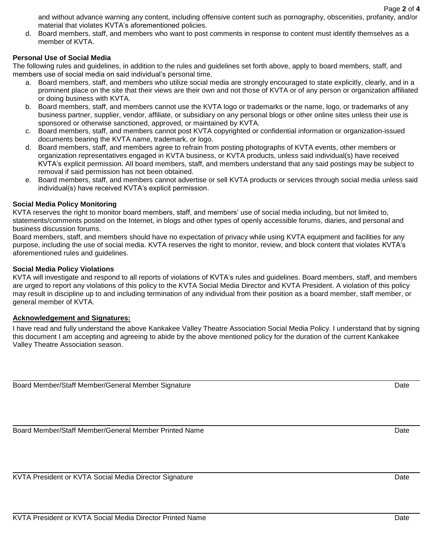and without advance warning any content, including offensive content such as pornography, obscenities, profanity, and/or material that violates KVTA's aforementioned policies.

d. Board members, staff, and members who want to post comments in response to content must identify themselves as a member of KVTA.

## **Personal Use of Social Media**

The following rules and guidelines, in addition to the rules and guidelines set forth above, apply to board members, staff, and members use of social media on said individual's personal time.

- a. Board members, staff, and members who utilize social media are strongly encouraged to state explicitly, clearly, and in a prominent place on the site that their views are their own and not those of KVTA or of any person or organization affiliated or doing business with KVTA.
- b. Board members, staff, and members cannot use the KVTA logo or trademarks or the name, logo, or trademarks of any business partner, supplier, vendor, affiliate, or subsidiary on any personal blogs or other online sites unless their use is sponsored or otherwise sanctioned, approved, or maintained by KVTA.
- c. Board members, staff, and members cannot post KVTA copyrighted or confidential information or organization-issued documents bearing the KVTA name, trademark, or logo.
- d. Board members, staff, and members agree to refrain from posting photographs of KVTA events, other members or organization representatives engaged in KVTA business, or KVTA products, unless said individual(s) have received KVTA's explicit permission. All board members, staff, and members understand that any said postings may be subject to removal if said permission has not been obtained.
- e. Board members, staff, and members cannot advertise or sell KVTA products or services through social media unless said individual(s) have received KVTA's explicit permission.

## **Social Media Policy Monitoring**

KVTA reserves the right to monitor board members, staff, and members' use of social media including, but not limited to, statements/comments posted on the Internet, in blogs and other types of openly accessible forums, diaries, and personal and business discussion forums.

Board members, staff, and members should have no expectation of privacy while using KVTA equipment and facilities for any purpose, including the use of social media. KVTA reserves the right to monitor, review, and block content that violates KVTA's aforementioned rules and guidelines.

#### **Social Media Policy Violations**

KVTA will investigate and respond to all reports of violations of KVTA's rules and guidelines. Board members, staff, and members are urged to report any violations of this policy to the KVTA Social Media Director and KVTA President. A violation of this policy may result in discipline up to and including termination of any individual from their position as a board member, staff member, or general member of KVTA.

## **Acknowledgement and Signatures:**

I have read and fully understand the above Kankakee Valley Theatre Association Social Media Policy. I understand that by signing this document I am accepting and agreeing to abide by the above mentioned policy for the duration of the current Kankakee Valley Theatre Association season.

Board Member/Staff Member/General Member Signature Date

Board Member/Staff Member/General Member Printed Name **Date Communist Communist Communist Communist Communist Communist Communist Communist Communist Communist Communist Communist Communist Communist Communist Communist Co** 

KVTA President or KVTA Social Media Director Signature **Date of Contact Contact Contact Contact Contact Contact Contact Contact Contact Contact Contact Contact Contact Contact Contact Contact Contact Contact Contact Contac**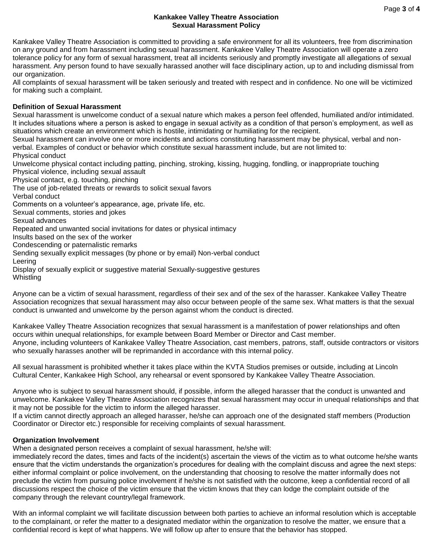#### **Kankakee Valley Theatre Association Sexual Harassment Policy**

Kankakee Valley Theatre Association is committed to providing a safe environment for all its volunteers, free from discrimination on any ground and from harassment including sexual harassment. Kankakee Valley Theatre Association will operate a zero tolerance policy for any form of sexual harassment, treat all incidents seriously and promptly investigate all allegations of sexual harassment. Any person found to have sexually harassed another will face disciplinary action, up to and including dismissal from our organization.

All complaints of sexual harassment will be taken seriously and treated with respect and in confidence. No one will be victimized for making such a complaint.

# **Definition of Sexual Harassment**

Sexual harassment is unwelcome conduct of a sexual nature which makes a person feel offended, humiliated and/or intimidated. It includes situations where a person is asked to engage in sexual activity as a condition of that person's employment, as well as situations which create an environment which is hostile, intimidating or humiliating for the recipient.

Sexual harassment can involve one or more incidents and actions constituting harassment may be physical, verbal and nonverbal. Examples of conduct or behavior which constitute sexual harassment include, but are not limited to:

Physical conduct

Unwelcome physical contact including patting, pinching, stroking, kissing, hugging, fondling, or inappropriate touching Physical violence, including sexual assault

Physical contact, e.g. touching, pinching

The use of job-related threats or rewards to solicit sexual favors

Verbal conduct

Comments on a volunteer's appearance, age, private life, etc.

Sexual comments, stories and jokes

Sexual advances

Repeated and unwanted social invitations for dates or physical intimacy

Insults based on the sex of the worker

Condescending or paternalistic remarks

Sending sexually explicit messages (by phone or by email) Non-verbal conduct

Leering

Display of sexually explicit or suggestive material Sexually-suggestive gestures

**Whistling** 

Anyone can be a victim of sexual harassment, regardless of their sex and of the sex of the harasser. Kankakee Valley Theatre Association recognizes that sexual harassment may also occur between people of the same sex. What matters is that the sexual conduct is unwanted and unwelcome by the person against whom the conduct is directed.

Kankakee Valley Theatre Association recognizes that sexual harassment is a manifestation of power relationships and often occurs within unequal relationships, for example between Board Member or Director and Cast member. Anyone, including volunteers of Kankakee Valley Theatre Association, cast members, patrons, staff, outside contractors or visitors who sexually harasses another will be reprimanded in accordance with this internal policy.

All sexual harassment is prohibited whether it takes place within the KVTA Studios premises or outside, including at Lincoln Cultural Center, Kankakee High School, any rehearsal or event sponsored by Kankakee Valley Theatre Association.

Anyone who is subject to sexual harassment should, if possible, inform the alleged harasser that the conduct is unwanted and unwelcome. Kankakee Valley Theatre Association recognizes that sexual harassment may occur in unequal relationships and that it may not be possible for the victim to inform the alleged harasser.

If a victim cannot directly approach an alleged harasser, he/she can approach one of the designated staff members (Production Coordinator or Director etc.) responsible for receiving complaints of sexual harassment.

## **Organization Involvement**

When a designated person receives a complaint of sexual harassment, he/she will:

immediately record the dates, times and facts of the incident(s) ascertain the views of the victim as to what outcome he/she wants ensure that the victim understands the organization's procedures for dealing with the complaint discuss and agree the next steps: either informal complaint or police involvement, on the understanding that choosing to resolve the matter informally does not preclude the victim from pursuing police involvement if he/she is not satisfied with the outcome, keep a confidential record of all discussions respect the choice of the victim ensure that the victim knows that they can lodge the complaint outside of the company through the relevant country/legal framework.

With an informal complaint we will facilitate discussion between both parties to achieve an informal resolution which is acceptable to the complainant, or refer the matter to a designated mediator within the organization to resolve the matter, we ensure that a confidential record is kept of what happens. We will follow up after to ensure that the behavior has stopped.